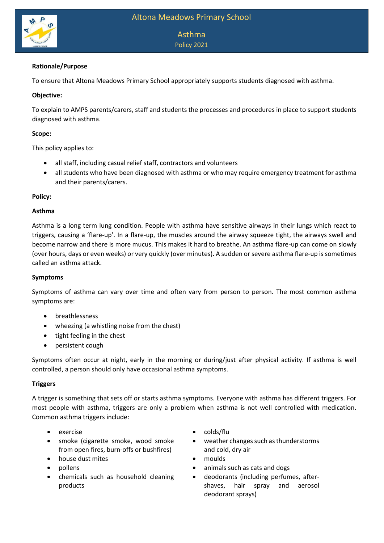

# Asthma Policy 2021

# **Rationale/Purpose**

To ensure that Altona Meadows Primary School appropriately supports students diagnosed with asthma.

### **Objective:**

To explain to AMPS parents/carers, staff and students the processes and procedures in place to support students diagnosed with asthma.

#### **Scope:**

This policy applies to:

- all staff, including casual relief staff, contractors and volunteers
- all students who have been diagnosed with asthma or who may require emergency treatment for asthma and their parents/carers.

#### **Policy:**

#### **Asthma**

Asthma is a long term lung condition. People with asthma have sensitive airways in their lungs which react to triggers, causing a 'flare-up'. In a flare-up, the muscles around the airway squeeze tight, the airways swell and become narrow and there is more mucus. This makes it hard to breathe. An asthma flare-up can come on slowly (over hours, days or even weeks) or very quickly (over minutes). A sudden or severe asthma flare-up is sometimes called an asthma attack.

## **Symptoms**

Symptoms of asthma can vary over time and often vary from person to person. The most common asthma symptoms are:

- breathlessness
- wheezing (a whistling noise from the chest)
- tight feeling in the chest
- persistent cough

Symptoms often occur at night, early in the morning or during/just after physical activity. If asthma is well controlled, a person should only have occasional asthma symptoms.

#### **Triggers**

A trigger is something that sets off or starts asthma symptoms. Everyone with asthma has different triggers. For most people with asthma, triggers are only a problem when asthma is not well controlled with medication. Common asthma triggers include:

- 
- smoke (cigarette smoke, wood smoke from open fires, burn-offs or bushfires)
- house dust mites **and the set of the set of the moulds**
- 
- chemicals such as household cleaning products
- exercise colds/flu
	- weather changes such as thunderstorms and cold, dry air
	-
- pollens animals such as cats and dogs
	- deodorants (including perfumes, aftershaves, hair spray and aerosol deodorant sprays)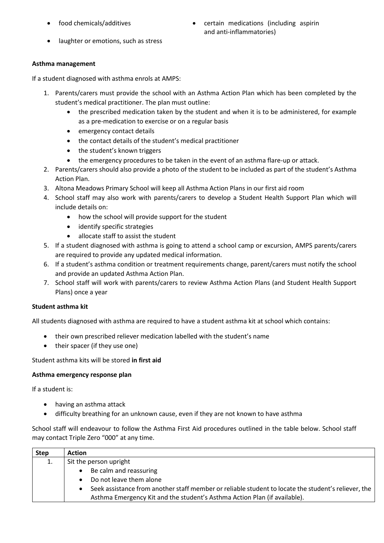- - food chemicals/additives **come contained to certain medications** (including aspirin and anti-inflammatories)
- laughter or emotions, such as stress

## **Asthma management**

If a student diagnosed with asthma enrols at AMPS:

- 1. Parents/carers must provide the school with an Asthma Action Plan which has been completed by the student's medical practitioner. The plan must outline:
	- the prescribed medication taken by the student and when it is to be administered, for example as a pre-medication to exercise or on a regular basis
	- emergency contact details
	- the contact details of the student's medical practitioner
	- the student's known triggers
	- the emergency procedures to be taken in the event of an asthma flare-up or attack.
- 2. Parents/carers should also provide a photo of the student to be included as part of the student's Asthma Action Plan.
- 3. Altona Meadows Primary School will keep all Asthma Action Plans in our first aid room
- 4. School staff may also work with parents/carers to develop a Student Health Support Plan which will include details on:
	- how the school will provide support for the student
	- identify specific strategies
	- allocate staff to assist the student
- 5. If a student diagnosed with asthma is going to attend a school camp or excursion, AMPS parents/carers are required to provide any updated medical information.
- 6. If a student's asthma condition or treatment requirements change, parent/carers must notify the school and provide an updated Asthma Action Plan.
- 7. School staff will work with parents/carers to review Asthma Action Plans (and Student Health Support Plans) once a year

## **Student asthma kit**

All students diagnosed with asthma are required to have a student asthma kit at school which contains:

- their own prescribed reliever medication labelled with the student's name
- their spacer (if they use one)

## Student asthma kits will be stored **in first aid**

## **Asthma emergency response plan**

If a student is:

- having an asthma attack
- difficulty breathing for an unknown cause, even if they are not known to have asthma

School staff will endeavour to follow the Asthma First Aid procedures outlined in the table below. School staff may contact Triple Zero "000" at any time.

| <b>Step</b> | <b>Action</b>                                                                                                    |  |  |
|-------------|------------------------------------------------------------------------------------------------------------------|--|--|
|             | Sit the person upright                                                                                           |  |  |
|             | Be calm and reassuring<br>$\bullet$                                                                              |  |  |
|             | Do not leave them alone<br>$\bullet$                                                                             |  |  |
|             | Seek assistance from another staff member or reliable student to locate the student's reliever, the<br>$\bullet$ |  |  |
|             | Asthma Emergency Kit and the student's Asthma Action Plan (if available).                                        |  |  |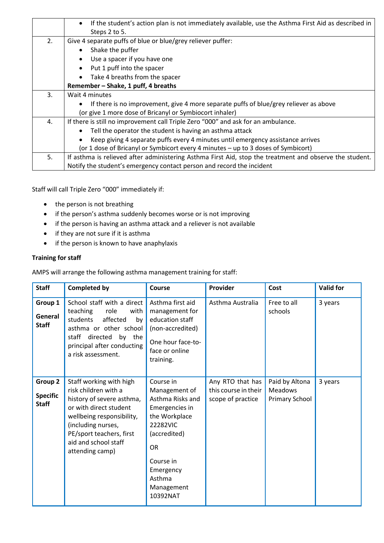|    | If the student's action plan is not immediately available, use the Asthma First Aid as described in<br>$\bullet$ |  |  |  |  |
|----|------------------------------------------------------------------------------------------------------------------|--|--|--|--|
|    | Steps 2 to 5.                                                                                                    |  |  |  |  |
| 2. | Give 4 separate puffs of blue or blue/grey reliever puffer:                                                      |  |  |  |  |
|    | Shake the puffer<br>$\bullet$                                                                                    |  |  |  |  |
|    | Use a spacer if you have one                                                                                     |  |  |  |  |
|    | Put 1 puff into the spacer                                                                                       |  |  |  |  |
|    | Take 4 breaths from the spacer                                                                                   |  |  |  |  |
|    | Remember - Shake, 1 puff, 4 breaths                                                                              |  |  |  |  |
| 3. | Wait 4 minutes                                                                                                   |  |  |  |  |
|    | If there is no improvement, give 4 more separate puffs of blue/grey reliever as above                            |  |  |  |  |
|    | (or give 1 more dose of Bricanyl or Symbiocort inhaler)                                                          |  |  |  |  |
| 4. | If there is still no improvement call Triple Zero "000" and ask for an ambulance.                                |  |  |  |  |
|    | Tell the operator the student is having an asthma attack                                                         |  |  |  |  |
|    | Keep giving 4 separate puffs every 4 minutes until emergency assistance arrives                                  |  |  |  |  |
|    | (or 1 dose of Bricanyl or Symbicort every 4 minutes - up to 3 doses of Symbicort)                                |  |  |  |  |
| 5. | If asthma is relieved after administering Asthma First Aid, stop the treatment and observe the student.          |  |  |  |  |
|    | Notify the student's emergency contact person and record the incident                                            |  |  |  |  |

Staff will call Triple Zero "000" immediately if:

- the person is not breathing
- if the person's asthma suddenly becomes worse or is not improving
- if the person is having an asthma attack and a reliever is not available
- if they are not sure if it is asthma
- if the person is known to have anaphylaxis

# **Training for staff**

AMPS will arrange the following asthma management training for staff:

| <b>Staff</b>                               | <b>Completed by</b>                                                                                                                                                                                                              | Course                                                                                                                                                                                   | Provider                                                      | Cost                                               | <b>Valid for</b> |
|--------------------------------------------|----------------------------------------------------------------------------------------------------------------------------------------------------------------------------------------------------------------------------------|------------------------------------------------------------------------------------------------------------------------------------------------------------------------------------------|---------------------------------------------------------------|----------------------------------------------------|------------------|
| Group 1<br>General<br><b>Staff</b>         | School staff with a direct<br>teaching<br>role<br>with<br>students<br>affected<br>by<br>asthma or other school<br>directed by the<br>staff<br>principal after conducting<br>a risk assessment.                                   | Asthma first aid<br>management for<br>education staff<br>(non-accredited)<br>One hour face-to-<br>face or online<br>training.                                                            | Asthma Australia                                              | Free to all<br>schools                             | 3 years          |
| Group 2<br><b>Specific</b><br><b>Staff</b> | Staff working with high<br>risk children with a<br>history of severe asthma,<br>or with direct student<br>wellbeing responsibility,<br>(including nurses,<br>PE/sport teachers, first<br>aid and school staff<br>attending camp) | Course in<br>Management of<br>Asthma Risks and<br>Emergencies in<br>the Workplace<br>22282VIC<br>(accredited)<br><b>OR</b><br>Course in<br>Emergency<br>Asthma<br>Management<br>10392NAT | Any RTO that has<br>this course in their<br>scope of practice | Paid by Altona<br><b>Meadows</b><br>Primary School | 3 years          |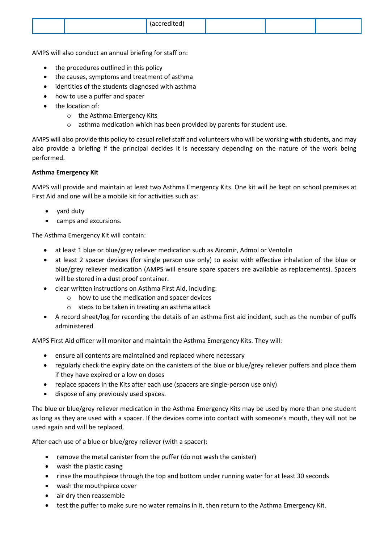|--|

AMPS will also conduct an annual briefing for staff on:

- the procedures outlined in this policy
- the causes, symptoms and treatment of asthma
- identities of the students diagnosed with asthma
- how to use a puffer and spacer
- the location of:
	- o the Asthma Emergency Kits
	- o asthma medication which has been provided by parents for student use.

AMPS will also provide this policy to casual relief staff and volunteers who will be working with students, and may also provide a briefing if the principal decides it is necessary depending on the nature of the work being performed.

#### **Asthma Emergency Kit**

AMPS will provide and maintain at least two Asthma Emergency Kits. One kit will be kept on school premises at First Aid and one will be a mobile kit for activities such as:

- yard duty
- camps and excursions.

The Asthma Emergency Kit will contain:

- at least 1 blue or blue/grey reliever medication such as Airomir, Admol or Ventolin
- at least 2 spacer devices (for single person use only) to assist with effective inhalation of the blue or blue/grey reliever medication (AMPS will ensure spare spacers are available as replacements). Spacers will be stored in a dust proof container.
- clear written instructions on Asthma First Aid, including:
	- o how to use the medication and spacer devices
	- o steps to be taken in treating an asthma attack
- A record sheet/log for recording the details of an asthma first aid incident, such as the number of puffs administered

AMPS First Aid officer will monitor and maintain the Asthma Emergency Kits. They will:

- ensure all contents are maintained and replaced where necessary
- regularly check the expiry date on the canisters of the blue or blue/grey reliever puffers and place them if they have expired or a low on doses
- replace spacers in the Kits after each use (spacers are single-person use only)
- dispose of any previously used spaces.

The blue or blue/grey reliever medication in the Asthma Emergency Kits may be used by more than one student as long as they are used with a spacer. If the devices come into contact with someone's mouth, they will not be used again and will be replaced.

After each use of a blue or blue/grey reliever (with a spacer):

- remove the metal canister from the puffer (do not wash the canister)
- wash the plastic casing
- rinse the mouthpiece through the top and bottom under running water for at least 30 seconds
- wash the mouthpiece cover
- air dry then reassemble
- test the puffer to make sure no water remains in it, then return to the Asthma Emergency Kit.